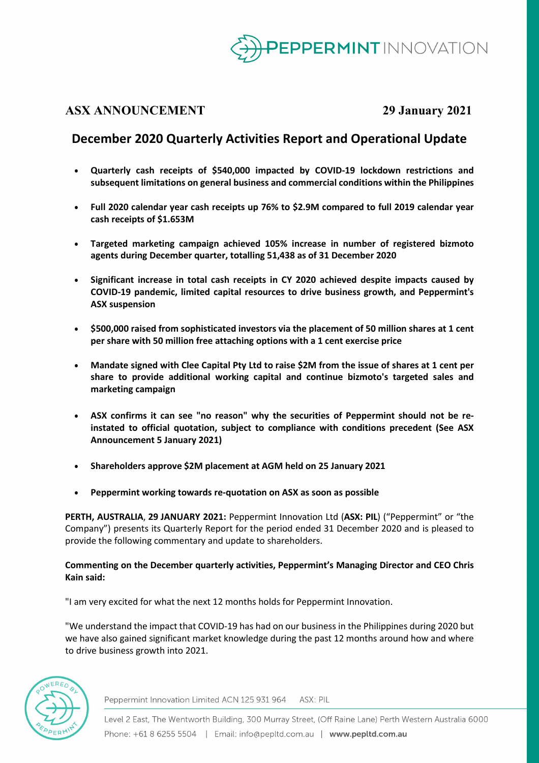

# **ASX ANNOUNCEMENT 29 January 2021**

# **December 2020 Quarterly Activities Report and Operational Update**

- **Quarterly cash receipts of \$540,000 impacted by COVID-19 lockdown restrictions and subsequent limitations on general business and commercial conditions within the Philippines**
- **Full 2020 calendar year cash receipts up 76% to \$2.9M compared to full 2019 calendar year cash receipts of \$1.653M**
- **Targeted marketing campaign achieved 105% increase in number of registered bizmoto agents during December quarter, totalling 51,438 as of 31 December 2020**
- **Significant increase in total cash receipts in CY 2020 achieved despite impacts caused by COVID-19 pandemic, limited capital resources to drive business growth, and Peppermint's ASX suspension**
- **\$500,000 raised from sophisticated investors via the placement of 50 million shares at 1 cent per share with 50 million free attaching options with a 1 cent exercise price**
- **Mandate signed with Clee Capital Pty Ltd to raise \$2M from the issue of shares at 1 cent per share to provide additional working capital and continue bizmoto's targeted sales and marketing campaign**
- **ASX confirms it can see "no reason" why the securities of Peppermint should not be reinstated to official quotation, subject to compliance with conditions precedent (See ASX Announcement 5 January 2021)**
- **Shareholders approve \$2M placement at AGM held on 25 January 2021**
- **Peppermint working towards re-quotation on ASX as soon as possible**

**PERTH, AUSTRALIA**, **29 JANUARY 2021:** Peppermint Innovation Ltd (**ASX: PIL**) ("Peppermint" or "the Company") presents its Quarterly Report for the period ended 31 December 2020 and is pleased to provide the following commentary and update to shareholders.

### **Commenting on the December quarterly activities, Peppermint's Managing Director and CEO Chris Kain said:**

"I am very excited for what the next 12 months holds for Peppermint Innovation.

"We understand the impact that COVID-19 has had on our business in the Philippines during 2020 but we have also gained significant market knowledge during the past 12 months around how and where to drive business growth into 2021.



Peppermint Innovation Limited ACN 125 931 964 ASX: PIL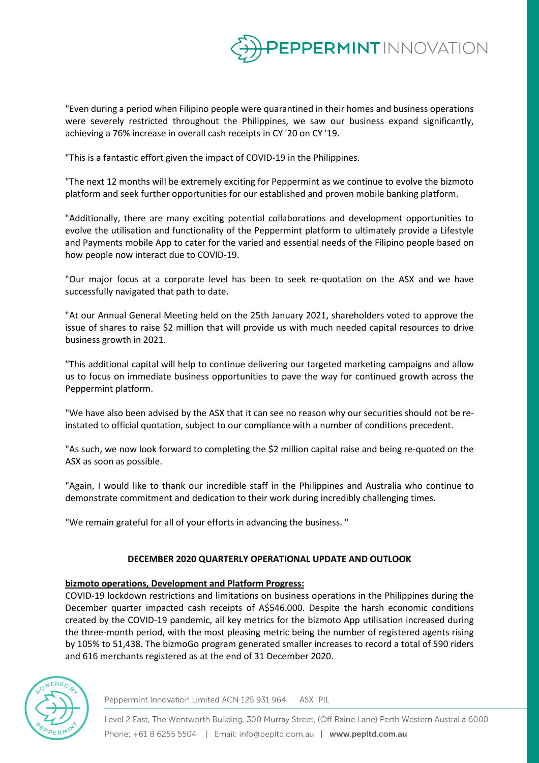

"Even during a period when Filipino people were quarantined in their homes and business operations were severely restricted throughout the Philippines, we saw our business expand significantly, achieving a 76% increase in overall cash receipts in CY '20 on CY '19.

"This is a fantastic effort given the impact of COVID-19 in the Philippines.

"The next 12 months will be extremely exciting for Peppermint as we continue to evolve the bizmoto platform and seek further opportunities for our established and proven mobile banking platform.

"Additionally, there are many exciting potential collaborations and development opportunities to evolve the utilisation and functionality of the Peppermint platform to ultimately provide a Lifestyle and Payments mobile App to cater for the varied and essential needs of the Filipino people based on how people now interact due to COVID-19.

"Our major focus at a corporate level has been to seek re-quotation on the ASX and we have successfully navigated that path to date.

"At our Annual General Meeting held on the 25th January 2021, shareholders voted to approve the issue of shares to raise \$2 million that will provide us with much needed capital resources to drive business growth in 2021.

"This additional capital will help to continue delivering our targeted marketing campaigns and allow us to focus on immediate business opportunities to pave the way for continued growth across the Peppermint platform.

"We have also been advised by the ASX that it can see no reason why our securities should not be reinstated to official quotation, subject to our compliance with a number of conditions precedent.

"As such, we now look forward to completing the \$2 million capital raise and being re-quoted on the ASX as soon as possible.

"Again, I would like to thank our incredible staff in the Philippines and Australia who continue to demonstrate commitment and dedication to their work during incredibly challenging times.

"We remain grateful for all of your efforts in advancing the business. "

### **DECEMBER 2020 QUARTERLY OPERATIONAL UPDATE AND OUTLOOK**

### **bizmoto operations, Development and Platform Progress:**

COVID-19 lockdown restrictions and limitations on business operations in the Philippines during the December quarter impacted cash receipts of A\$546.000. Despite the harsh economic conditions created by the COVID-19 pandemic, all key metrics for the bizmoto App utilisation increased during the three-month period, with the most pleasing metric being the number of registered agents rising by 105% to 51,438. The bizmoGo program generated smaller increases to record a total of 590 riders and 616 merchants registered as at the end of 31 December 2020.



Peppermint Innovation Limited ACN 125 931 964 ASX: PIL

Level 2 East, The Wentworth Building, 300 Murray Street, (Off Raine Lane) Perth Western Australia 6000 Phone: +61 8 6255 5504 | Email: info@pepltd.com.au | www.pepltd.com.au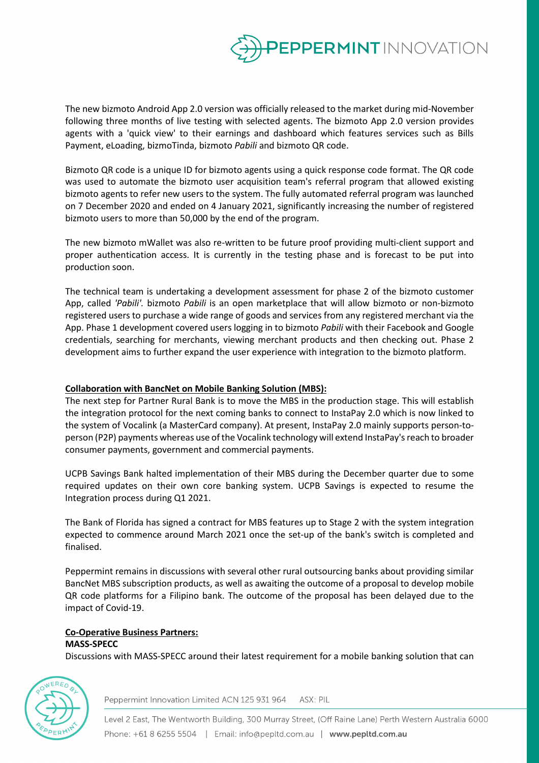

The new bizmoto Android App 2.0 version was officially released to the market during mid-November following three months of live testing with selected agents. The bizmoto App 2.0 version provides agents with a 'quick view' to their earnings and dashboard which features services such as Bills Payment, eLoading, bizmoTinda, bizmoto *Pabili* and bizmoto QR code.

Bizmoto QR code is a unique ID for bizmoto agents using a quick response code format. The QR code was used to automate the bizmoto user acquisition team's referral program that allowed existing bizmoto agents to refer new users to the system. The fully automated referral program was launched on 7 December 2020 and ended on 4 January 2021, significantly increasing the number of registered bizmoto users to more than 50,000 by the end of the program.

The new bizmoto mWallet was also re-written to be future proof providing multi-client support and proper authentication access. It is currently in the testing phase and is forecast to be put into production soon.

The technical team is undertaking a development assessment for phase 2 of the bizmoto customer App, called *'Pabili'.* bizmoto *Pabili* is an open marketplace that will allow bizmoto or non-bizmoto registered users to purchase a wide range of goods and services from any registered merchant via the App. Phase 1 development covered users logging in to bizmoto *Pabili* with their Facebook and Google credentials, searching for merchants, viewing merchant products and then checking out. Phase 2 development aims to further expand the user experience with integration to the bizmoto platform.

### **Collaboration with BancNet on Mobile Banking Solution (MBS):**

The next step for Partner Rural Bank is to move the MBS in the production stage. This will establish the integration protocol for the next coming banks to connect to InstaPay 2.0 which is now linked to the system of Vocalink (a MasterCard company). At present, InstaPay 2.0 mainly supports person-toperson (P2P) payments whereas use of the Vocalink technology will extend InstaPay's reach to broader consumer payments, government and commercial payments.

UCPB Savings Bank halted implementation of their MBS during the December quarter due to some required updates on their own core banking system. UCPB Savings is expected to resume the Integration process during Q1 2021.

The Bank of Florida has signed a contract for MBS features up to Stage 2 with the system integration expected to commence around March 2021 once the set-up of the bank's switch is completed and finalised.

Peppermint remains in discussions with several other rural outsourcing banks about providing similar BancNet MBS subscription products, as well as awaiting the outcome of a proposal to develop mobile QR code platforms for a Filipino bank. The outcome of the proposal has been delayed due to the impact of Covid-19.

### **Co-Operative Business Partners: MASS-SPECC**

Discussions with MASS-SPECC around their latest requirement for a mobile banking solution that can



Peppermint Innovation Limited ACN 125 931 964 ASX: PIL

Level 2 East, The Wentworth Building, 300 Murray Street, (Off Raine Lane) Perth Western Australia 6000 Phone: +61 8 6255 5504 | Email: info@pepltd.com.au | www.pepltd.com.au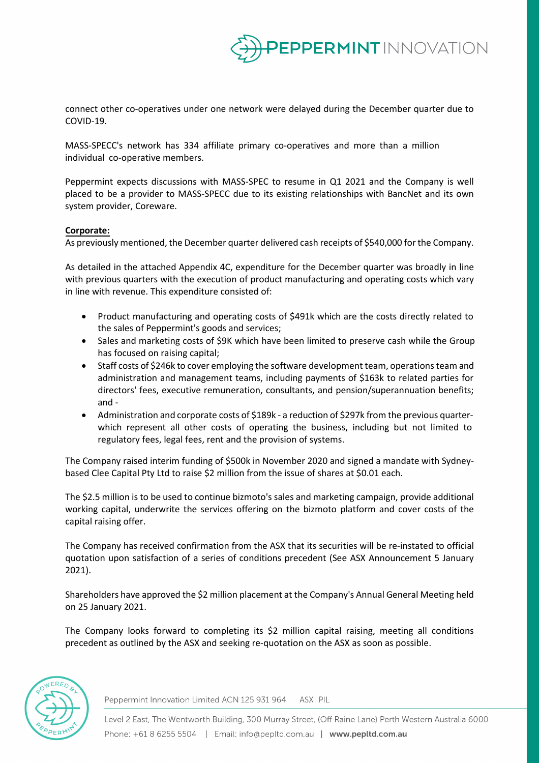

connect other co-operatives under one network were delayed during the December quarter due to COVID-19.

MASS-SPECC's network has 334 affiliate primary co-operatives and more than a million individual co-operative members.

Peppermint expects discussions with MASS-SPEC to resume in Q1 2021 and the Company is well placed to be a provider to MASS-SPECC due to its existing relationships with BancNet and its own system provider, Coreware.

### **Corporate:**

As previously mentioned, the December quarter delivered cash receipts of \$540,000 for the Company.

As detailed in the attached Appendix 4C, expenditure for the December quarter was broadly in line with previous quarters with the execution of product manufacturing and operating costs which vary in line with revenue. This expenditure consisted of:

- Product manufacturing and operating costs of \$491k which are the costs directly related to the sales of Peppermint's goods and services;
- Sales and marketing costs of \$9K which have been limited to preserve cash while the Group has focused on raising capital;
- Staff costs of \$246k to cover employing the software development team, operations team and administration and management teams, including payments of \$163k to related parties for directors' fees, executive remuneration, consultants, and pension/superannuation benefits; and -
- Administration and corporate costs of \$189k a reduction of \$297k from the previous quarterwhich represent all other costs of operating the business, including but not limited to regulatory fees, legal fees, rent and the provision of systems.

The Company raised interim funding of \$500k in November 2020 and signed a mandate with Sydneybased Clee Capital Pty Ltd to raise \$2 million from the issue of shares at \$0.01 each.

The \$2.5 million is to be used to continue bizmoto's sales and marketing campaign, provide additional working capital, underwrite the services offering on the bizmoto platform and cover costs of the capital raising offer.

The Company has received confirmation from the ASX that its securities will be re-instated to official quotation upon satisfaction of a series of conditions precedent (See ASX Announcement 5 January 2021).

Shareholders have approved the \$2 million placement at the Company's Annual General Meeting held on 25 January 2021.

The Company looks forward to completing its \$2 million capital raising, meeting all conditions precedent as outlined by the ASX and seeking re-quotation on the ASX as soon as possible.



Peppermint Innovation Limited ACN 125 931 964 ASX: PIL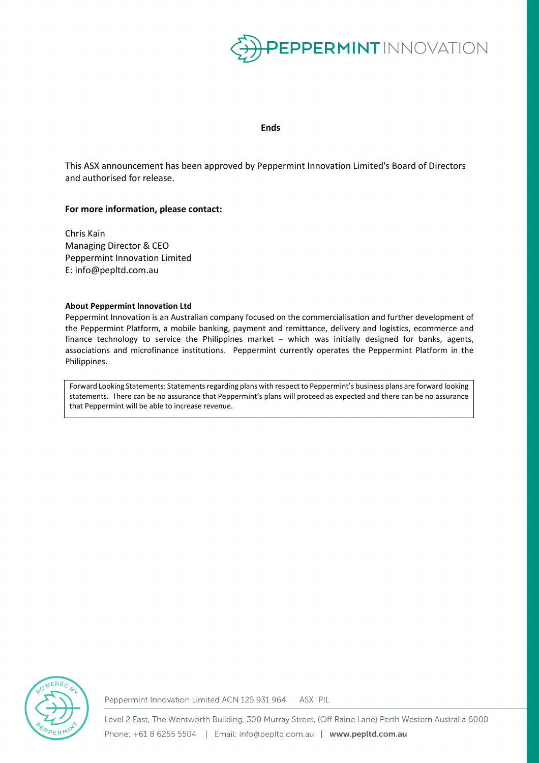

### **Ends**

This ASX announcement has been approved by Peppermint Innovation Limited's Board of Directors and authorised for release.

### **For more information, please contact:**

Chris Kain Managing Director & CEO Peppermint Innovation Limited E: info@pepltd.com.au

### **About Peppermint Innovation Ltd**

Peppermint Innovation is an Australian company focused on the commercialisation and further development of the Peppermint Platform, a mobile banking, payment and remittance, delivery and logistics, ecommerce and finance technology to service the Philippines market – which was initially designed for banks, agents, associations and microfinance institutions. Peppermint currently operates the Peppermint Platform in the Philippines.

Forward Looking Statements: Statements regarding plans with respect to Peppermint's business plans are forward looking statements. There can be no assurance that Peppermint's plans will proceed as expected and there can be no assurance that Peppermint will be able to increase revenue.



Peppermint Innovation Limited ACN 125 931 964 ASX: PIL

Level 2 East, The Wentworth Building, 300 Murray Street, (Off Raine Lane) Perth Western Australia 6000 Phone: +61 8 6255 5504 | Email: info@pepltd.com.au | www.pepltd.com.au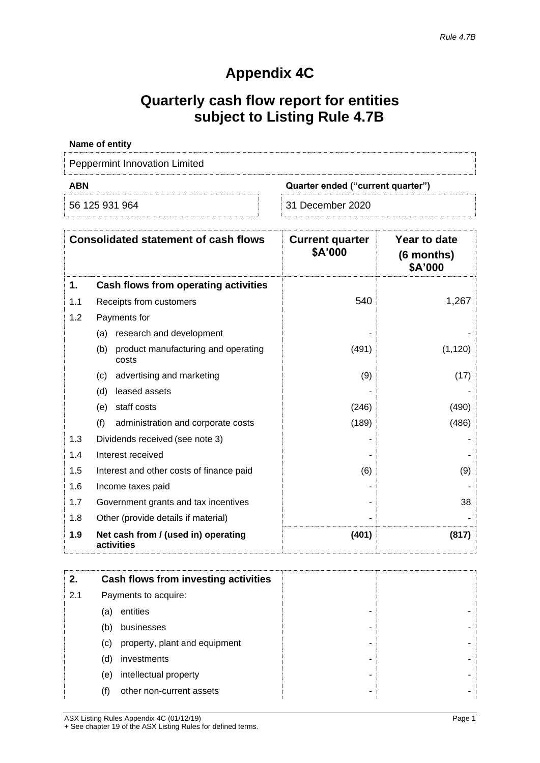# **Appendix 4C**

# **Quarterly cash flow report for entities subject to Listing Rule 4.7B**

| Name of entity                       |                                   |  |  |
|--------------------------------------|-----------------------------------|--|--|
| <b>Peppermint Innovation Limited</b> |                                   |  |  |
| ABN                                  | Quarter ended ("current quarter") |  |  |
|                                      |                                   |  |  |

| <b>Consolidated statement of cash flows</b> |                                                     | <b>Current quarter</b><br>\$A'000 | Year to date<br>(6 months)<br>\$A'000 |
|---------------------------------------------|-----------------------------------------------------|-----------------------------------|---------------------------------------|
| 1.                                          | Cash flows from operating activities                |                                   |                                       |
| 1.1                                         | Receipts from customers                             | 540                               | 1,267                                 |
| 1.2                                         | Payments for                                        |                                   |                                       |
|                                             | research and development<br>(a)                     |                                   |                                       |
|                                             | (b)<br>product manufacturing and operating<br>costs | (491)                             | (1, 120)                              |
|                                             | advertising and marketing<br>(c)                    | (9)                               | (17)                                  |
|                                             | leased assets<br>(d)                                |                                   |                                       |
|                                             | staff costs<br>(e)                                  | (246)                             | (490)                                 |
|                                             | (f)<br>administration and corporate costs           | (189)                             | (486)                                 |
| 1.3                                         | Dividends received (see note 3)                     |                                   |                                       |
| 1.4                                         | Interest received                                   |                                   |                                       |
| 1.5                                         | Interest and other costs of finance paid            | (6)                               | (9)                                   |
| 1.6                                         | Income taxes paid                                   |                                   |                                       |
| 1.7                                         | Government grants and tax incentives                |                                   | 38                                    |
| 1.8                                         | Other (provide details if material)                 |                                   |                                       |
| 1.9                                         | Net cash from / (used in) operating<br>activities   | (401)                             | (817)                                 |

| 2.  |     | Cash flows from investing activities |
|-----|-----|--------------------------------------|
| 2.1 |     | Payments to acquire:                 |
|     | (a) | entities                             |
|     | (b) | businesses                           |
|     | (c) | property, plant and equipment        |
|     | (d) | investments                          |
|     | (e) | intellectual property                |
|     | (f) | other non-current assets             |

ASX Listing Rules Appendix 4C (01/12/19) Page 1 + See chapter 19 of the ASX Listing Rules for defined terms.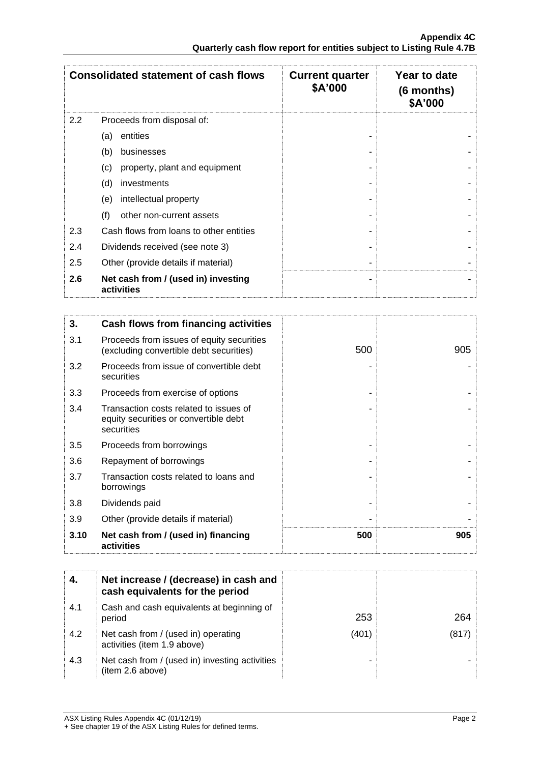| <b>Consolidated statement of cash flows</b> |                                                   | <b>Current quarter</b><br>\$A'000 | Year to date<br>$(6$ months)<br>\$A'000 |
|---------------------------------------------|---------------------------------------------------|-----------------------------------|-----------------------------------------|
| 2.2                                         | Proceeds from disposal of:                        |                                   |                                         |
|                                             | entities<br>(a)                                   |                                   |                                         |
|                                             | (b)<br>businesses                                 |                                   |                                         |
|                                             | property, plant and equipment<br>(c)              |                                   |                                         |
|                                             | (d)<br>investments                                |                                   |                                         |
|                                             | intellectual property<br>(e)                      |                                   |                                         |
|                                             | (f)<br>other non-current assets                   |                                   |                                         |
| 2.3                                         | Cash flows from loans to other entities           |                                   |                                         |
| 2.4                                         | Dividends received (see note 3)                   |                                   |                                         |
| 2.5                                         | Other (provide details if material)               |                                   |                                         |
| 2.6                                         | Net cash from / (used in) investing<br>activities |                                   |                                         |

| 3.   | Cash flows from financing activities                                                          |     |     |
|------|-----------------------------------------------------------------------------------------------|-----|-----|
| 3.1  | Proceeds from issues of equity securities<br>(excluding convertible debt securities)          | 500 | 905 |
| 3.2  | Proceeds from issue of convertible debt<br>securities                                         |     |     |
| 3.3  | Proceeds from exercise of options                                                             |     |     |
| 3.4  | Transaction costs related to issues of<br>equity securities or convertible debt<br>securities |     |     |
| 3.5  | Proceeds from borrowings                                                                      |     |     |
| 3.6  | Repayment of borrowings                                                                       |     |     |
| 3.7  | Transaction costs related to loans and<br>borrowings                                          |     |     |
| 3.8  | Dividends paid                                                                                |     |     |
| 3.9  | Other (provide details if material)                                                           |     |     |
| 3.10 | Net cash from / (used in) financing<br>activities                                             | 500 | 905 |

|     | Net increase / (decrease) in cash and<br>cash equivalents for the period |       |       |
|-----|--------------------------------------------------------------------------|-------|-------|
| 4.1 | Cash and cash equivalents at beginning of<br>period                      | 253   | 264   |
| 4.2 | Net cash from / (used in) operating<br>activities (item 1.9 above)       | (401) | (817) |
| 4.3 | Net cash from / (used in) investing activities<br>(item 2.6 above)       |       |       |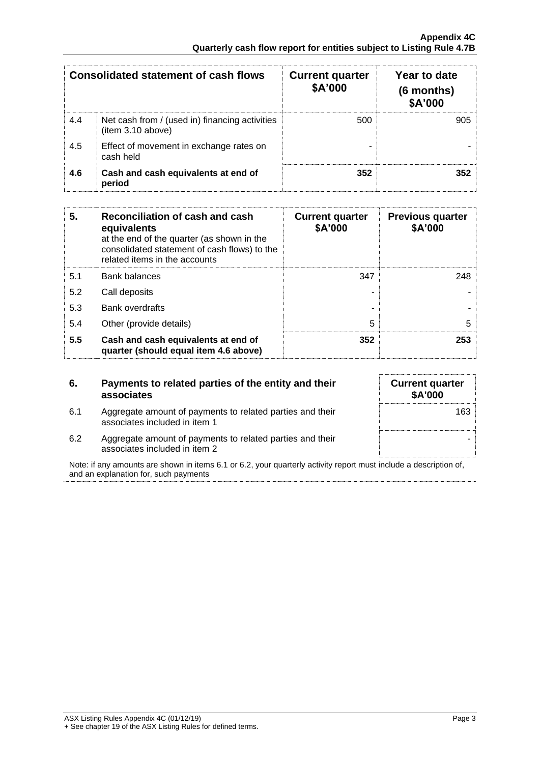| <b>Consolidated statement of cash flows</b> |                                                                     | <b>Current quarter</b><br>\$A'000 | Year to date<br>(6 months)<br>\$A'000 |
|---------------------------------------------|---------------------------------------------------------------------|-----------------------------------|---------------------------------------|
| 4.4                                         | Net cash from / (used in) financing activities<br>(item 3.10 above) | 500                               | 905.                                  |
| 4.5                                         | Effect of movement in exchange rates on<br>cash held                |                                   |                                       |
| 4.6                                         | Cash and cash equivalents at end of<br>period                       | 352                               | 352                                   |

| 5.  | Reconciliation of cash and cash<br>equivalents<br>at the end of the quarter (as shown in the<br>consolidated statement of cash flows) to the<br>related items in the accounts | <b>Current quarter</b><br>\$A'000 | <b>Previous quarter</b><br>\$A'000 |
|-----|-------------------------------------------------------------------------------------------------------------------------------------------------------------------------------|-----------------------------------|------------------------------------|
| 5.1 | <b>Bank balances</b>                                                                                                                                                          | 347                               | 248                                |
| 5.2 | Call deposits                                                                                                                                                                 |                                   |                                    |
| 5.3 | <b>Bank overdrafts</b>                                                                                                                                                        |                                   |                                    |
| 5.4 | Other (provide details)                                                                                                                                                       | 5                                 | 5                                  |
| 5.5 | Cash and cash equivalents at end of<br>quarter (should equal item 4.6 above)                                                                                                  | 352                               | 253                                |

| 6.  | Payments to related parties of the entity and their<br>associates                          |
|-----|--------------------------------------------------------------------------------------------|
| 6.1 | Aggregate amount of payments to related parties and their<br>associates included in item 1 |

| <b>Current quarter</b><br><b>\$A'000</b> |
|------------------------------------------|
| 163                                      |
|                                          |

6.2 Aggregate amount of payments to related parties and their associates included in item 2

Note: if any amounts are shown in items 6.1 or 6.2, your quarterly activity report must include a description of, and an explanation for, such payments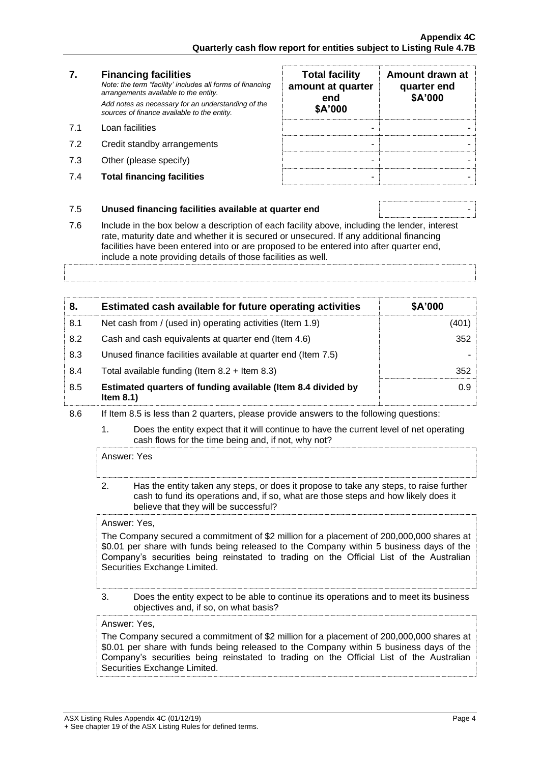# **7. Financing facilities**

- 
- 7.2 Credit standby arrangements
- 7.3 Other (please specify)
- **7.4 Total financing facilities**

| 7.  | <b>Financing facilities</b><br>Note: the term "facility' includes all forms of financing<br>arrangements available to the entity.<br>Add notes as necessary for an understanding of the<br>sources of finance available to the entity. | <b>Total facility</b><br>amount at quarter<br>end<br>\$A'000 | Amount drawn at<br>quarter end<br>\$A'000 |
|-----|----------------------------------------------------------------------------------------------------------------------------------------------------------------------------------------------------------------------------------------|--------------------------------------------------------------|-------------------------------------------|
| 71  | Loan facilities                                                                                                                                                                                                                        |                                                              |                                           |
| 7.2 | Credit standby arrangements                                                                                                                                                                                                            |                                                              |                                           |
| 7.3 | Other (please specify)                                                                                                                                                                                                                 |                                                              |                                           |
| 7.4 | <b>Total financing facilities</b>                                                                                                                                                                                                      |                                                              |                                           |

### 7.5 **Unused financing facilities available at quarter end** -

7.6 Include in the box below a description of each facility above, including the lender, interest rate, maturity date and whether it is secured or unsecured. If any additional financing facilities have been entered into or are proposed to be entered into after quarter end,

include a note providing details of those facilities as well.

### **8. Estimated cash available for future operating activities \$A'000** 8.1 Net cash from / (used in) operating activities (Item 1.9)  $\vert$  (401) 8.2 Cash and cash equivalents at quarter end (Item 4.6) 352 8.3 Unused finance facilities available at quarter end (Item 7.5) 8.4 Total available funding (Item 8.2 + Item 8.3) 352 8.5 **Estimated quarters of funding available (Item 8.4 divided by Item 8.1)** 0.9

8.6 If Item 8.5 is less than 2 quarters, please provide answers to the following questions:

1. Does the entity expect that it will continue to have the current level of net operating cash flows for the time being and, if not, why not?

Answer: Yes

2. Has the entity taken any steps, or does it propose to take any steps, to raise further cash to fund its operations and, if so, what are those steps and how likely does it believe that they will be successful?

### Answer: Yes,

The Company secured a commitment of \$2 million for a placement of 200,000,000 shares at \$0.01 per share with funds being released to the Company within 5 business days of the Company's securities being reinstated to trading on the Official List of the Australian Securities Exchange Limited.

3. Does the entity expect to be able to continue its operations and to meet its business objectives and, if so, on what basis?

### Answer: Yes,

The Company secured a commitment of \$2 million for a placement of 200,000,000 shares at \$0.01 per share with funds being released to the Company within 5 business days of the Company's securities being reinstated to trading on the Official List of the Australian Securities Exchange Limited.